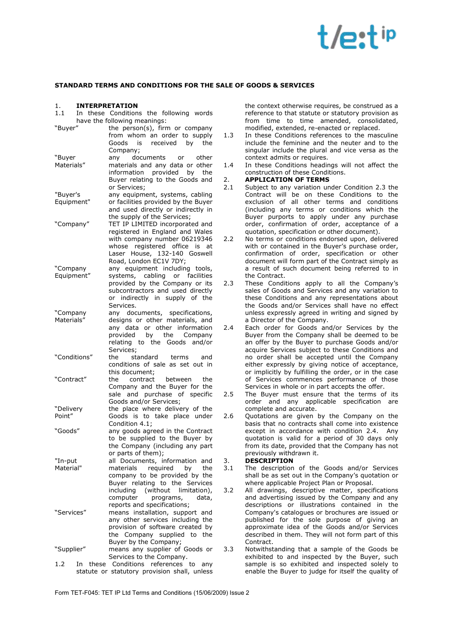# $\dagger$  /o.t ip

#### **STANDARD TERMS AND CONDITIONS FOR THE SALE OF GOODS & SERVICES**

### 1. **INTERPRETATION**

In these Conditions the following words have the following meanings:

| "Buyer"              | the person(s), firm or company<br>from whom an order to supply<br>received by<br>Goods<br>is<br>the                                                                                                    |
|----------------------|--------------------------------------------------------------------------------------------------------------------------------------------------------------------------------------------------------|
|                      | Company;                                                                                                                                                                                               |
| "Buyer<br>Materials" | documents<br>other<br>any<br>or<br>materials and any data or other<br>information provided by<br>the<br>Buyer relating to the Goods and<br>or Services;                                                |
| "Buyer's             | any equipment, systems, cabling                                                                                                                                                                        |
| Equipment"           | or facilities provided by the Buyer<br>and used directly or indirectly in<br>the supply of the Services;                                                                                               |
| "Company"            | TET IP LIMITED incorporated and<br>registered in England and Wales<br>with company number 06219346<br>registered office<br>whose<br>is<br>at<br>Laser House, 132-140 Goswell<br>Road, London EC1V 7DY; |
| "Company             | any equipment including tools,                                                                                                                                                                         |
| Equipment"           | systems, cabling or facilities                                                                                                                                                                         |
|                      | provided by the Company or its                                                                                                                                                                         |
|                      | subcontractors and used directly                                                                                                                                                                       |
|                      | or indirectly in supply of the                                                                                                                                                                         |
|                      | Services.                                                                                                                                                                                              |
| "Company             | any documents, specifications,                                                                                                                                                                         |
| Materials"           | designs or other materials, and<br>any data or other information                                                                                                                                       |
|                      | provided by<br>the<br>Company                                                                                                                                                                          |
|                      | relating to the Goods<br>and/or                                                                                                                                                                        |
|                      | Services;                                                                                                                                                                                              |
| "Conditions"         | standard<br>the<br>terms<br>and                                                                                                                                                                        |
|                      | conditions of sale as set out in                                                                                                                                                                       |
|                      | this document;                                                                                                                                                                                         |
| "Contract"           | the<br>contract<br>between<br>the                                                                                                                                                                      |
|                      | Company and the Buyer for the                                                                                                                                                                          |
|                      | sale and purchase of specific                                                                                                                                                                          |
|                      | Goods and/or Services;                                                                                                                                                                                 |
| "Delivery<br>Point"  | the place where delivery of the<br>Goods is to take place under                                                                                                                                        |
|                      | Condition 4.1;                                                                                                                                                                                         |
| "Goods"              | any goods agreed in the Contract                                                                                                                                                                       |
|                      | to be supplied to the Buyer by                                                                                                                                                                         |
|                      | the Company (including any part                                                                                                                                                                        |
|                      | or parts of them);                                                                                                                                                                                     |
| "In-put              | all Documents, information and                                                                                                                                                                         |
| Material             | materials required by the                                                                                                                                                                              |
|                      | company to be provided by the                                                                                                                                                                          |
|                      | Buyer relating to the Services<br>(without<br>including<br>limitation),                                                                                                                                |
|                      | computer<br>programs,<br>data,                                                                                                                                                                         |
|                      | reports and specifications;                                                                                                                                                                            |
| "Services"           | means installation, support and                                                                                                                                                                        |
|                      | any other services including the                                                                                                                                                                       |
|                      | provision of software created by                                                                                                                                                                       |
|                      | the Company supplied to the                                                                                                                                                                            |
|                      | Buyer by the Company;                                                                                                                                                                                  |
| "Supplier"           | means any supplier of Goods or                                                                                                                                                                         |
|                      | Services to the Company.<br>1.2 In these Conditions references to any                                                                                                                                  |
|                      |                                                                                                                                                                                                        |

1.2 In these Conditions references to any statute or statutory provision shall, unless

the context otherwise requires, be construed as a reference to that statute or statutory provision as from time to time amended, consolidated, modified, extended, re-enacted or replaced.

- 1.3 In these Conditions references to the masculine include the feminine and the neuter and to the singular include the plural and vice versa as the context admits or requires.
- 1.4 In these Conditions headings will not affect the construction of these Conditions.

#### 2. **APPLICATION OF TERMS**

- 2.1 Subject to any variation under Condition 2.3 the Contract will be on these Conditions to the exclusion of all other terms and conditions (including any terms or conditions which the Buyer purports to apply under any purchase order, confirmation of order, acceptance of a quotation, specification or other document).
- 2.2 No terms or conditions endorsed upon, delivered with or contained in the Buyer's purchase order, confirmation of order, specification or other document will form part of the Contract simply as a result of such document being referred to in the Contract.
- 2.3 These Conditions apply to all the Company's sales of Goods and Services and any variation to these Conditions and any representations about the Goods and/or Services shall have no effect unless expressly agreed in writing and signed by a Director of the Company.
- 2.4 Each order for Goods and/or Services by the Buyer from the Company shall be deemed to be an offer by the Buyer to purchase Goods and/or acquire Services subject to these Conditions and no order shall be accepted until the Company either expressly by giving notice of acceptance, or implicitly by fulfilling the order, or in the case of Services commences performance of those Services in whole or in part accepts the offer.
- 2.5 The Buyer must ensure that the terms of its order and any applicable specification are complete and accurate.
- 2.6 Ouotations are given by the Company on the basis that no contracts shall come into existence except in accordance with condition 2.4. Any quotation is valid for a period of 30 days only from its date, provided that the Company has not previously withdrawn it.

### 3. **DESCRIPTION**

- The description of the Goods and/or Services shall be as set out in the Company's quotation or where applicable Project Plan or Proposal.
- 3.2 All drawings, descriptive matter, specifications and advertising issued by the Company and any descriptions or illustrations contained in the Company's catalogues or brochures are issued or published for the sole purpose of giving an approximate idea of the Goods and/or Services described in them. They will not form part of this Contract.
- 3.3 Notwithstanding that a sample of the Goods be exhibited to and inspected by the Buyer, such sample is so exhibited and inspected solely to enable the Buyer to judge for itself the quality of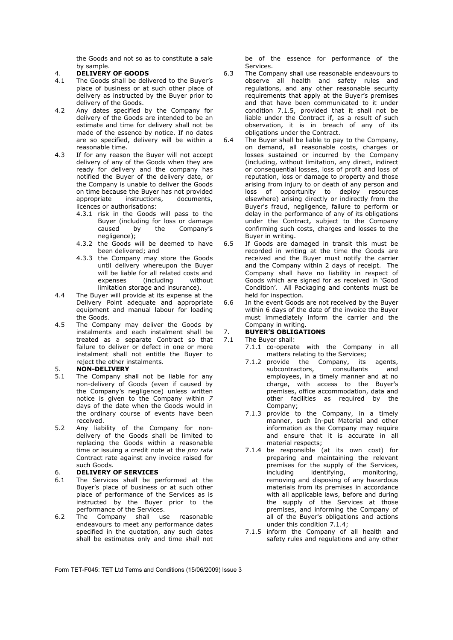the Goods and not so as to constitute a sale by sample.

- 4. **DELIVERY OF GOODS**
- The Goods shall be delivered to the Buyer's place of business or at such other place of delivery as instructed by the Buyer prior to delivery of the Goods.
- 4.2 Any dates specified by the Company for delivery of the Goods are intended to be an estimate and time for delivery shall not be made of the essence by notice. If no dates are so specified, delivery will be within a reasonable time.
- 4.3 If for any reason the Buyer will not accept delivery of any of the Goods when they are ready for delivery and the company has notified the Buyer of the delivery date, or the Company is unable to deliver the Goods on time because the Buyer has not provided<br>appropriate instructions. documents.  $intourions$ , licences or authorisations:
	- 4.3.1 risk in the Goods will pass to the Buyer (including for loss or damage<br>caused by the Company's Company's negligence);
	- 4.3.2 the Goods will be deemed to have been delivered; and
	- 4.3.3 the Company may store the Goods until delivery whereupon the Buyer will be liable for all related costs and expenses (including without limitation storage and insurance).
- 4.4 The Buyer will provide at its expense at the Delivery Point adequate and appropriate equipment and manual labour for loading the Goods.
- 4.5 The Company may deliver the Goods by instalments and each instalment shall be treated as a separate Contract so that failure to deliver or defect in one or more instalment shall not entitle the Buyer to reject the other instalments.

#### 5. **NON-DELIVERY**

- 5.1 The Company shall not be liable for any non-delivery of Goods (even if caused by the Company's negligence) unless written notice is given to the Company within *7* days of the date when the Goods would in the ordinary course of events have been received.
- 5.2 Any liability of the Company for nondelivery of the Goods shall be limited to replacing the Goods within a reasonable time or issuing a credit note at the *pro rata* Contract rate against any invoice raised for such Goods.

# 6. **DELIVERY OF SERVICES**

- The Services shall be performed at the Buyer's place of business or at such other place of performance of the Services as is instructed by the Buyer prior to the performance of the Services.
- 6.2 The Company shall use reasonable endeavours to meet any performance dates specified in the quotation, any such dates shall be estimates only and time shall not

be of the essence for performance of the Services.

- 6.3 The Company shall use reasonable endeavours to observe all health and safety rules and regulations, and any other reasonable security requirements that apply at the Buyer's premises and that have been communicated to it under condition 7.1.5, provided that it shall not be liable under the Contract if, as a result of such observation, it is in breach of any of its obligations under the Contract.
- 6.4 The Buyer shall be liable to pay to the Company, on demand, all reasonable costs, charges or losses sustained or incurred by the Company (including, without limitation, any direct, indirect or consequential losses, loss of profit and loss of reputation, loss or damage to property and those arising from injury to or death of any person and loss of opportunity to deploy resources elsewhere) arising directly or indirectly from the Buyer's fraud, negligence, failure to perform or delay in the performance of any of its obligations under the Contract, subject to the Company confirming such costs, charges and losses to the Buyer in writing.

6.5 If Goods are damaged in transit this must be recorded in writing at the time the Goods are received and the Buyer must notify the carrier and the Company within 2 days of receipt. The Company shall have no liability in respect of Goods which are signed for as received in 'Good Condition'. All Packaging and contents must be held for inspection.

6.6 In the event Goods are not received by the Buyer within 6 days of the date of the invoice the Buyer must immediately inform the carrier and the Company in writing.

### 7. **BUYER'S OBLIGATIONS**

- The Buyer shall:
	- 7.1.1 co-operate with the Company in all matters relating to the Services;
	- 7.1.2 provide the Company, its agents, subcontractors, consultants and employees, in a timely manner and at no charge, with access to the Buyer's premises, office accommodation, data and other facilities as required by the Company;
	- 7.1.3 provide to the Company, in a timely manner, such In-put Material and other information as the Company may require and ensure that it is accurate in all material respects;
	- 7.1.4 be responsible (at its own cost) for preparing and maintaining the relevant premises for the supply of the Services,<br>including identifying, monitoring, including identifying, removing and disposing of any hazardous materials from its premises in accordance with all applicable laws, before and during the supply of the Services at those premises, and informing the Company of all of the Buyer's obligations and actions under this condition 7.1.4;
	- 7.1.5 inform the Company of all health and safety rules and regulations and any other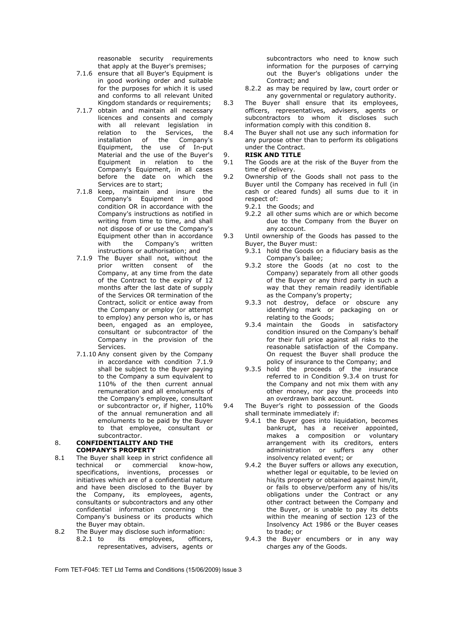reasonable security requirements that apply at the Buyer's premises;

- 7.1.6 ensure that all Buyer's Equipment is in good working order and suitable for the purposes for which it is used and conforms to all relevant United Kingdom standards or requirements;
- 7.1.7 obtain and maintain all necessary licences and consents and comply with all relevant legislation in relation to the Services, the installation of the Company's Equipment, the use of In-put Material and the use of the Buyer's Equipment in relation to the Company's Equipment, in all cases before the date on which the Services are to start;
- 7.1.8 keep, maintain and insure the Company's Equipment in good condition OR in accordance with the Company's instructions as notified in writing from time to time, and shall not dispose of or use the Company's Equipment other than in accordance<br>with the Company's written with the Company's written instructions or authorisation; and
- 7.1.9 The Buyer shall not, without the prior written consent of the Company, at any time from the date of the Contract to the expiry of 12 months after the last date of supply of the Services OR termination of the Contract, solicit or entice away from the Company or employ (or attempt to employ) any person who is, or has been, engaged as an employee, consultant or subcontractor of the Company in the provision of the Services.
- 7.1.10 Any consent given by the Company in accordance with condition 7.1.9 shall be subject to the Buyer paying to the Company a sum equivalent to 110% of the then current annual remuneration and all emoluments of the Company's employee, consultant or subcontractor or, if higher, 110% of the annual remuneration and all emoluments to be paid by the Buyer to that employee, consultant or subcontractor.

#### 8. **CONFIDENTIALITY AND THE COMPANY'S PROPERTY**

- 8.1 The Buyer shall keep in strict confidence all technical or commercial know-how, specifications, inventions, processes or initiatives which are of a confidential nature and have been disclosed to the Buyer by the Company, its employees, agents, consultants or subcontractors and any other confidential information concerning the Company's business or its products which the Buyer may obtain.
- 8.2 The Buyer may disclose such information: 8.2.1 to its employees, officers, representatives, advisers, agents or

subcontractors who need to know such information for the purposes of carrying out the Buyer's obligations under the Contract; and

- 8.2.2 as may be required by law, court order or any governmental or regulatory authority.
- 8.3 The Buyer shall ensure that its employees, officers, representatives, advisers, agents or subcontractors to whom it discloses such information comply with this condition 8.
- 8.4 The Buyer shall not use any such information for any purpose other than to perform its obligations under the Contract.

### 9. **RISK AND TITLE**

- The Goods are at the risk of the Buyer from the time of delivery.
- 9.2 Ownership of the Goods shall not pass to the Buyer until the Company has received in full (in cash or cleared funds) all sums due to it in respect of:
	- 9.2.1 the Goods; and
	- 9.2.2 all other sums which are or which become due to the Company from the Buyer on any account.
- 9.3 Until ownership of the Goods has passed to the Buyer, the Buyer must:
	- 9.3.1 hold the Goods on a fiduciary basis as the Company's bailee;
	- 9.3.2 store the Goods (at no cost to the Company) separately from all other goods of the Buyer or any third party in such a way that they remain readily identifiable as the Company's property;
	- 9.3.3 not destroy, deface or obscure any identifying mark or packaging on or relating to the Goods;
	- 9.3.4 maintain the Goods in satisfactory condition insured on the Company's behalf for their full price against all risks to the reasonable satisfaction of the Company. On request the Buyer shall produce the policy of insurance to the Company; and
	- 9.3.5 hold the proceeds of the insurance referred to in Condition 9.3.4 on trust for the Company and not mix them with any other money, nor pay the proceeds into an overdrawn bank account.
- 9.4 The Buyer's right to possession of the Goods shall terminate immediately if:
	- 9.4.1 the Buver goes into liquidation, becomes bankrupt, has a receiver appointed, makes a composition or voluntary arrangement with its creditors, enters administration or suffers any other insolvency related event; or
	- 9.4.2 the Buyer suffers or allows any execution, whether legal or equitable, to be levied on his/its property or obtained against him/it, or fails to observe/perform any of his/its obligations under the Contract or any other contract between the Company and the Buyer, or is unable to pay its debts within the meaning of section 123 of the Insolvency Act 1986 or the Buyer ceases to trade; or
	- 9.4.3 the Buyer encumbers or in any way charges any of the Goods.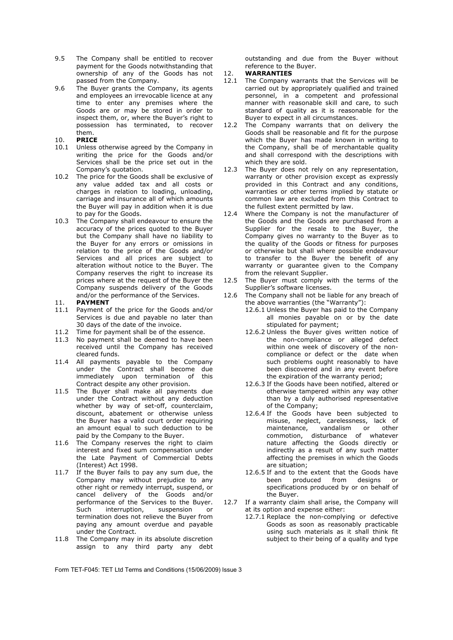- 9.5 The Company shall be entitled to recover payment for the Goods notwithstanding that ownership of any of the Goods has not passed from the Company.
- 9.6 The Buyer grants the Company, its agents and employees an irrevocable licence at any time to enter any premises where the Goods are or may be stored in order to inspect them, or, where the Buyer's right to possession has terminated, to recover them.
- 10. **PRICE**
- Unless otherwise agreed by the Company in writing the price for the Goods and/or Services shall be the price set out in the Company's quotation.
- 10.2 The price for the Goods shall be exclusive of any value added tax and all costs or charges in relation to loading, unloading, carriage and insurance all of which amounts the Buyer will pay in addition when it is due to pay for the Goods.
- 10.3 The Company shall endeavour to ensure the accuracy of the prices quoted to the Buyer but the Company shall have no liability to the Buyer for any errors or omissions in relation to the price of the Goods and/or Services and all prices are subject to alteration without notice to the Buyer. The Company reserves the right to increase its prices where at the request of the Buyer the Company suspends delivery of the Goods and/or the performance of the Services.
- 11. **PAYMENT**
- 11.1 Payment of the price for the Goods and/or Services is due and payable no later than 30 days of the date of the invoice.
- 11.2 Time for payment shall be of the essence.<br>11.3 No payment shall be deemed to have bee
- No payment shall be deemed to have been received until the Company has received cleared funds.
- 11.4 All payments payable to the Company under the Contract shall become due immediately upon termination of this Contract despite any other provision.
- 11.5 The Buyer shall make all payments due under the Contract without any deduction whether by way of set-off, counterclaim, discount, abatement or otherwise unless the Buyer has a valid court order requiring an amount equal to such deduction to be paid by the Company to the Buyer.
- 11.6 The Company reserves the right to claim interest and fixed sum compensation under the Late Payment of Commercial Debts (Interest) Act 1998.
- 11.7 If the Buyer fails to pay any sum due, the Company may without prejudice to any other right or remedy interrupt, suspend, or cancel delivery of the Goods and/or performance of the Services to the Buyer. Such interruption, suspension or termination does not relieve the Buyer from paying any amount overdue and payable under the Contract.
- 11.8 The Company may in its absolute discretion assign to any third party any debt

outstanding and due from the Buyer without reference to the Buyer.

### 12. **WARRANTIES**<br>12.1 The Company v

- The Company warrants that the Services will be carried out by appropriately qualified and trained personnel, in a competent and professional manner with reasonable skill and care, to such standard of quality as it is reasonable for the Buyer to expect in all circumstances.
- 12.2 The Company warrants that on delivery the Goods shall be reasonable and fit for the purpose which the Buyer has made known in writing to the Company, shall be of merchantable quality and shall correspond with the descriptions with which they are sold.
- 12.3 The Buyer does not rely on any representation, warranty or other provision except as expressly provided in this Contract and any conditions, warranties or other terms implied by statute or common law are excluded from this Contract to the fullest extent permitted by law.
- 12.4 Where the Company is not the manufacturer of the Goods and the Goods are purchased from a Supplier for the resale to the Buyer, the Company gives no warranty to the Buyer as to the quality of the Goods or fitness for purposes or otherwise but shall where possible endeavour to transfer to the Buyer the benefit of any warranty or guarantee given to the Company from the relevant Supplier.
- 12.5 The Buyer must comply with the terms of the Supplier's software licenses.
- 12.6 The Company shall not be liable for any breach of the above warranties (the "Warranty"):
	- 12.6.1 Unless the Buyer has paid to the Company all monies payable on or by the date stipulated for payment;
	- 12.6.2 Unless the Buyer gives written notice of the non-compliance or alleged defect within one week of discovery of the noncompliance or defect or the date when such problems ought reasonably to have been discovered and in any event before the expiration of the warranty period;
	- 12.6.3 If the Goods have been notified, altered or otherwise tampered within any way other than by a duly authorised representative of the Company;
	- 12.6.4 If the Goods have been subjected to misuse, neglect, carelessness, lack of maintenance, vandalism or other commotion, disturbance of whatever nature affecting the Goods directly or indirectly as a result of any such matter affecting the premises in which the Goods are situation;
	- 12.6.5 If and to the extent that the Goods have been produced from designs or specifications produced by or on behalf of the Buyer.
- 12.7 If a warranty claim shall arise, the Company will at its option and expense either:
	- 12.7.1 Replace the non-complying or defective Goods as soon as reasonably practicable using such materials as it shall think fit subject to their being of a quality and type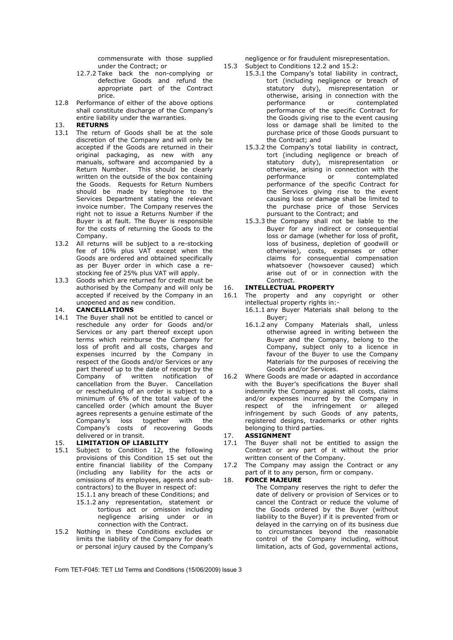commensurate with those supplied under the Contract; or

- 12.7.2 Take back the non-complying or defective Goods and refund the appropriate part of the Contract price.
- 12.8 Performance of either of the above options shall constitute discharge of the Company's entire liability under the warranties.

### 13. **RETURNS**

- The return of Goods shall be at the sole discretion of the Company and will only be accepted if the Goods are returned in their original packaging, as new with any manuals, software and accompanied by a Return Number. This should be clearly written on the outside of the box containing the Goods. Requests for Return Numbers should be made by telephone to the Services Department stating the relevant invoice number. The Company reserves the right not to issue a Returns Number if the Buyer is at fault. The Buyer is responsible for the costs of returning the Goods to the Company.
- 13.2 All returns will be subject to a re-stocking fee of 10% plus VAT except when the Goods are ordered and obtained specifically as per Buyer order in which case a restocking fee of 25% plus VAT will apply.
- 13.3 Goods which are returned for credit must be authorised by the Company and will only be accepted if received by the Company in an unopened and as new condition.

#### 14. **CANCELLATIONS**

14.1 The Buyer shall not be entitled to cancel or reschedule any order for Goods and/or Services or any part thereof except upon terms which reimburse the Company for loss of profit and all costs, charges and expenses incurred by the Company in respect of the Goods and/or Services or any part thereof up to the date of receipt by the Company of written notification of cancellation from the Buyer. Cancellation or rescheduling of an order is subject to a minimum of 6% of the total value of the cancelled order (which amount the Buyer agrees represents a genuine estimate of the Company's loss together with the Company's costs of recovering Goods delivered or in transit.

### 15. **LIMITATION OF LIABILITY**<br>15.1 Subject to Condition 12.

- Subject to Condition 12, the following provisions of this Condition 15 set out the entire financial liability of the Company (including any liability for the acts or omissions of its employees, agents and subcontractors) to the Buyer in respect of:
	- 15.1.1 any breach of these Conditions; and 15.1.2 any representation, statement or tortious act or omission including negligence arising under or in connection with the Contract.
- 15.2 Nothing in these Conditions excludes or limits the liability of the Company for death or personal injury caused by the Company's

negligence or for fraudulent misrepresentation.

- 15.3 Subject to Conditions 12.2 and 15.2:
	- 15.3.1 the Company's total liability in contract, tort (including negligence or breach of statutory duty), misrepresentation or otherwise, arising in connection with the contemplated performance of the specific Contract for the Goods giving rise to the event causing loss or damage shall be limited to the purchase price of those Goods pursuant to the Contract; and
	- 15.3.2 the Company's total liability in contract, tort (including negligence or breach of statutory duty), misrepresentation or otherwise, arising in connection with the performance or contemplated performance of the specific Contract for the Services giving rise to the event causing loss or damage shall be limited to the purchase price of those Services pursuant to the Contract; and
	- 15.3.3 the Company shall not be liable to the Buyer for any indirect or consequential loss or damage (whether for loss of profit, loss of business, depletion of goodwill or otherwise), costs, expenses or other claims for consequential compensation whatsoever (howsoever caused) which arise out of or in connection with the Contract.

# 16. **INTELLECTUAL PROPERTY**

- The property and any copyright or other intellectual property rights in:-
	- 16.1.1 any Buyer Materials shall belong to the Buyer;
	- 16.1.2 any Company Materials shall, unless otherwise agreed in writing between the Buyer and the Company, belong to the Company, subject only to a licence in favour of the Buyer to use the Company Materials for the purposes of receiving the Goods and/or Services.
- 16.2 Where Goods are made or adapted in accordance with the Buyer's specifications the Buyer shall indemnify the Company against all costs, claims and/or expenses incurred by the Company in respect of the infringement or alleged infringement by such Goods of any patents, registered designs, trademarks or other rights belonging to third parties.

### 17. **ASSIGNMENT**<br>17.1 The Buver sha

- The Buyer shall not be entitled to assign the Contract or any part of it without the prior written consent of the Company.
- 17.2 The Company may assign the Contract or any part of it to any person, firm or company.

#### 18. **FORCE MAJEURE**

The Company reserves the right to defer the date of delivery or provision of Services or to cancel the Contract or reduce the volume of the Goods ordered by the Buyer (without liability to the Buyer) if it is prevented from or delayed in the carrying on of its business due to circumstances beyond the reasonable control of the Company including, without limitation, acts of God, governmental actions,